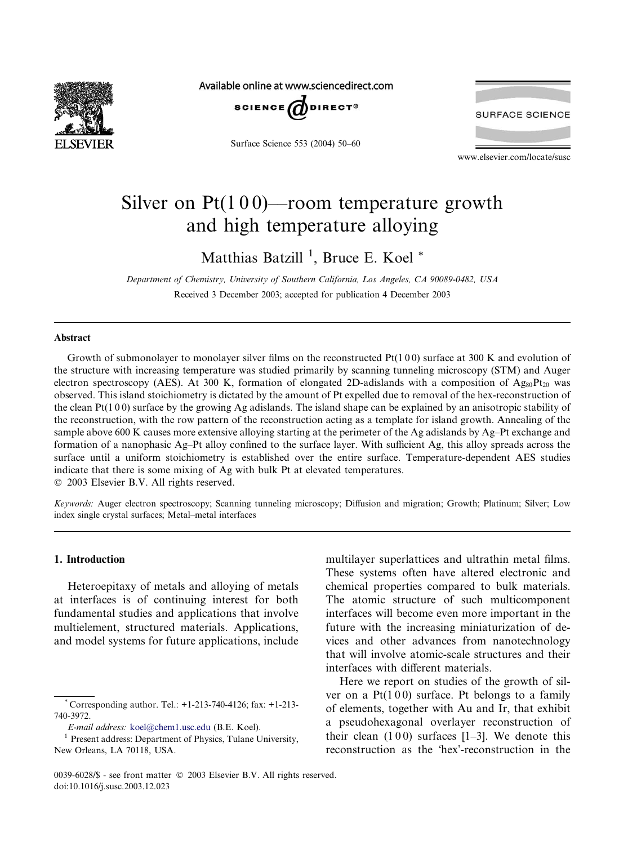

Available online at www.sciencedirect.com



Surface Science 553 (2004) 50–60



www.elsevier.com/locate/susc

# Silver on  $Pt(100)$ —room temperature growth and high temperature alloying

Matthias Batzill<sup>1</sup>, Bruce E. Koel<sup>\*</sup>

Department of Chemistry, University of Southern California, Los Angeles, CA 90089-0482, USA Received 3 December 2003; accepted for publication 4 December 2003

#### Abstract

Growth of submonolayer to monolayer silver films on the reconstructed Pt(1 0 0) surface at 300 K and evolution of the structure with increasing temperature was studied primarily by scanning tunneling microscopy (STM) and Auger electron spectroscopy (AES). At 300 K, formation of elongated 2D-adislands with a composition of  $Ag_{80}Pt_{20}$  was observed.This island stoichiometry is dictated by the amount of Pt expelled due to removal of the hex-reconstruction of the clean  $Pt(1 0 0)$  surface by the growing Ag adislands. The island shape can be explained by an anisotropic stability of the reconstruction, with the row pattern of the reconstruction acting as a template for island growth.Annealing of the sample above 600 K causes more extensive alloying starting at the perimeter of the Ag adislands by Ag–Pt exchange and formation of a nanophasic Ag–Pt alloy confined to the surface layer. With sufficient Ag, this alloy spreads across the surface until a uniform stoichiometry is established over the entire surface. Temperature-dependent AES studies indicate that there is some mixing of Ag with bulk Pt at elevated temperatures. 2003 Elsevier B.V. All rights reserved.

Keywords: Auger electron spectroscopy; Scanning tunneling microscopy; Diffusion and migration; Growth; Platinum; Silver; Low index single crystal surfaces; Metal–metal interfaces

# 1. Introduction

Heteroepitaxy of metals and alloying of metals at interfaces is of continuing interest for both fundamental studies and applications that involve multielement, structured materials. Applications, and model systems for future applications, include multilayer superlattices and ultrathin metal films. These systems often have altered electronic and chemical properties compared to bulk materials. The atomic structure of such multicomponent interfaces will become even more important in the future with the increasing miniaturization of devices and other advances from nanotechnology that will involve atomic-scale structures and their interfaces with different materials.

Here we report on studies of the growth of silver on a  $Pt(100)$  surface. Pt belongs to a family of elements, together with Au and Ir, that exhibit a pseudohexagonal overlayer reconstruction of their clean  $(100)$  surfaces  $[1–3]$ . We denote this reconstruction as the 'hex'-reconstruction in the

<sup>\*</sup> Corresponding author.Tel.: +1-213-740-4126; fax: +1-213- 740-3972.

E-mail address: [koel@chem1.usc.edu](mail to: koel@chem1.usc.edu) (B.E. Koel).

<sup>&</sup>lt;sup>1</sup> Present address: Department of Physics, Tulane University, New Orleans, LA 70118, USA.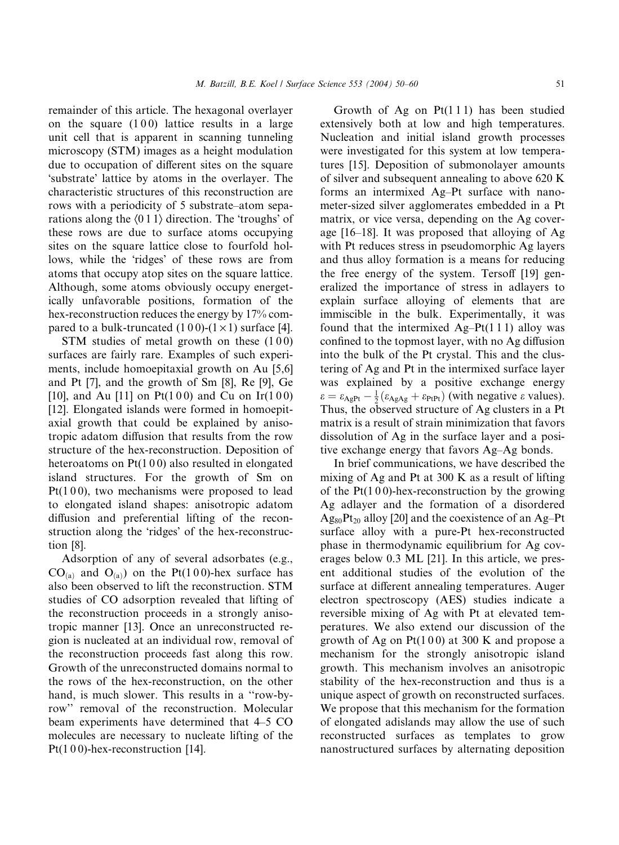remainder of this article.The hexagonal overlayer on the square  $(100)$  lattice results in a large unit cell that is apparent in scanning tunneling microscopy (STM) images as a height modulation due to occupation of different sites on the square 'substrate' lattice by atoms in the overlayer. The characteristic structures of this reconstruction are rows with a periodicity of 5 substrate–atom separations along the  $(011)$  direction. The 'troughs' of these rows are due to surface atoms occupying sites on the square lattice close to fourfold hollows, while the 'ridges' of these rows are from atoms that occupy atop sites on the square lattice. Although, some atoms obviously occupy energetically unfavorable positions, formation of the hex-reconstruction reduces the energy by 17% compared to a bulk-truncated  $(100)-(1\times1)$  surface [4].

STM studies of metal growth on these  $(100)$ surfaces are fairly rare. Examples of such experiments, include homoepitaxial growth on Au [5,6] and Pt [7], and the growth of Sm [8], Re [9], Ge [10], and Au [11] on Pt(100) and Cu on Ir(100) [12]. Elongated islands were formed in homoepitaxial growth that could be explained by anisotropic adatom diffusion that results from the row structure of the hex-reconstruction. Deposition of heteroatoms on  $Pt(100)$  also resulted in elongated island structures. For the growth of Sm on  $Pt(100)$ , two mechanisms were proposed to lead to elongated island shapes: anisotropic adatom diffusion and preferential lifting of the reconstruction along the 'ridges' of the hex-reconstruction [8].

Adsorption of any of several adsorbates (e.g.,  $CO<sub>(a)</sub>$  and  $O<sub>(a)</sub>$ ) on the Pt(100)-hex surface has also been observed to lift the reconstruction. STM studies of CO adsorption revealed that lifting of the reconstruction proceeds in a strongly anisotropic manner [13].Once an unreconstructed region is nucleated at an individual row, removal of the reconstruction proceeds fast along this row. Growth of the unreconstructed domains normal to the rows of the hex-reconstruction, on the other hand, is much slower. This results in a "row-byrow" removal of the reconstruction. Molecular beam experiments have determined that 4–5 CO molecules are necessary to nucleate lifting of the Pt(100)-hex-reconstruction [14].

Growth of Ag on  $Pt(111)$  has been studied extensively both at low and high temperatures. Nucleation and initial island growth processes were investigated for this system at low temperatures [15].Deposition of submonolayer amounts of silver and subsequent annealing to above 620 K forms an intermixed Ag–Pt surface with nanometer-sized silver agglomerates embedded in a Pt matrix, or vice versa, depending on the Ag coverage  $[16–18]$ . It was proposed that alloying of Ag with Pt reduces stress in pseudomorphic Ag layers and thus alloy formation is a means for reducing the free energy of the system.Tersoff [19] generalized the importance of stress in adlayers to explain surface alloying of elements that are immiscible in the bulk. Experimentally, it was found that the intermixed  $Ag-Pt(111)$  alloy was confined to the topmost layer, with no Ag diffusion into the bulk of the Pt crystal.This and the clustering of Ag and Pt in the intermixed surface layer was explained by a positive exchange energy  $\varepsilon = \varepsilon_{\text{A}gPt} - \frac{1}{2}(\varepsilon_{\text{A}gAg} + \varepsilon_{PtPt})$  (with negative  $\varepsilon$  values). Thus, the observed structure of Ag clusters in a Pt matrix is a result of strain minimization that favors dissolution of Ag in the surface layer and a positive exchange energy that favors Ag–Ag bonds.

In brief communications, we have described the mixing of Ag and Pt at 300 K as a result of lifting of the  $Pt(100)$ -hex-reconstruction by the growing Ag adlayer and the formation of a disordered  $Ag_{80}Pt_{20}$  alloy [20] and the coexistence of an Ag–Pt surface alloy with a pure-Pt hex-reconstructed phase in thermodynamic equilibrium for Ag coverages below 0.3 ML [21]. In this article, we present additional studies of the evolution of the surface at different annealing temperatures. Auger electron spectroscopy (AES) studies indicate a reversible mixing of Ag with Pt at elevated temperatures.We also extend our discussion of the growth of Ag on  $Pt(100)$  at 300 K and propose a mechanism for the strongly anisotropic island growth.This mechanism involves an anisotropic stability of the hex-reconstruction and thus is a unique aspect of growth on reconstructed surfaces. We propose that this mechanism for the formation of elongated adislands may allow the use of such reconstructed surfaces as templates to grow nanostructured surfaces by alternating deposition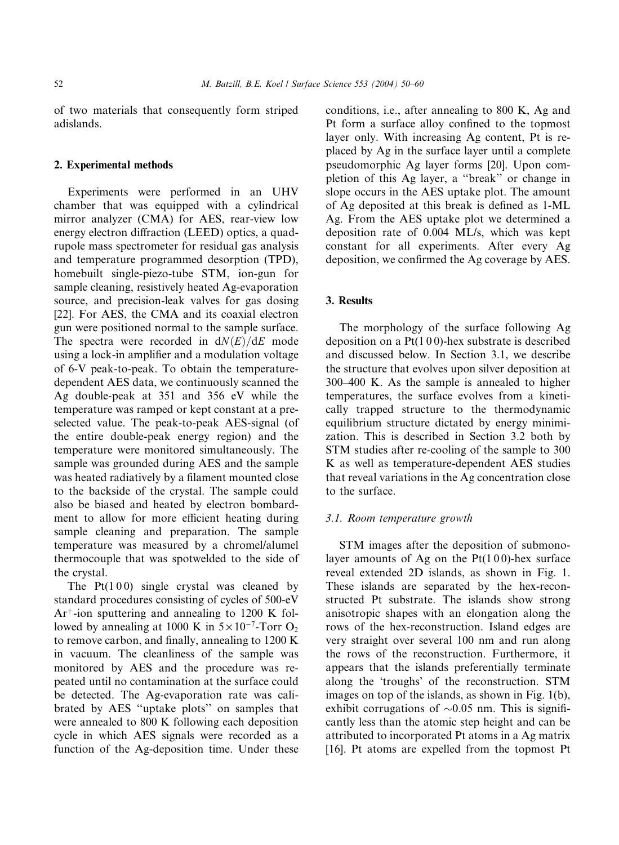of two materials that consequently form striped adislands.

### 2. Experimental methods

Experiments were performed in an UHV chamber that was equipped with a cylindrical mirror analyzer (CMA) for AES, rear-view low energy electron diffraction (LEED) optics, a quadrupole mass spectrometer for residual gas analysis and temperature programmed desorption (TPD), homebuilt single-piezo-tube STM, ion-gun for sample cleaning, resistively heated Ag-evaporation source, and precision-leak valves for gas dosing [22].For AES, the CMA and its coaxial electron gun were positioned normal to the sample surface. The spectra were recorded in  $dN(E)/dE$  mode using a lock-in amplifier and a modulation voltage of 6-V peak-to-peak.To obtain the temperaturedependent AES data, we continuously scanned the Ag double-peak at 351 and 356 eV while the temperature was ramped or kept constant at a preselected value.The peak-to-peak AES-signal (of the entire double-peak energy region) and the temperature were monitored simultaneously.The sample was grounded during AES and the sample was heated radiatively by a filament mounted close to the backside of the crystal.The sample could also be biased and heated by electron bombardment to allow for more efficient heating during sample cleaning and preparation. The sample temperature was measured by a chromel/alumel thermocouple that was spotwelded to the side of the crystal.

The  $Pt(100)$  single crystal was cleaned by standard procedures consisting of cycles of 500-eV  $Ar<sup>+</sup>$ -ion sputtering and annealing to 1200 K followed by annealing at 1000 K in  $5 \times 10^{-7}$ -Torr O<sub>2</sub> to remove carbon, and finally, annealing to 1200 K in vacuum.The cleanliness of the sample was monitored by AES and the procedure was repeated until no contamination at the surface could be detected. The Ag-evaporation rate was calibrated by AES ''uptake plots'' on samples that were annealed to 800 K following each deposition cycle in which AES signals were recorded as a function of the Ag-deposition time. Under these conditions, i.e., after annealing to 800 K, Ag and Pt form a surface alloy confined to the topmost layer only. With increasing Ag content, Pt is replaced by Ag in the surface layer until a complete pseudomorphic Ag layer forms [20]. Upon completion of this Ag layer, a ''break'' or change in slope occurs in the AES uptake plot. The amount of Ag deposited at this break is defined as 1-ML Ag.From the AES uptake plot we determined a deposition rate of 0.004 ML/s, which was kept constant for all experiments. After every Ag deposition, we confirmed the Ag coverage by AES.

## 3. Results

The morphology of the surface following Ag deposition on a  $Pt(100)$ -hex substrate is described and discussed below.In Section 3.1, we describe the structure that evolves upon silver deposition at 300–400 K.As the sample is annealed to higher temperatures, the surface evolves from a kinetically trapped structure to the thermodynamic equilibrium structure dictated by energy minimization.This is described in Section 3.2 both by STM studies after re-cooling of the sample to 300 K as well as temperature-dependent AES studies that reveal variations in the Ag concentration close to the surface.

## 3.1. Room temperature growth

STM images after the deposition of submonolayer amounts of Ag on the  $Pt(100)$ -hex surface reveal extended 2D islands, as shown in Fig.1. These islands are separated by the hex-reconstructed Pt substrate. The islands show strong anisotropic shapes with an elongation along the rows of the hex-reconstruction. Island edges are very straight over several 100 nm and run along the rows of the reconstruction. Furthermore, it appears that the islands preferentially terminate along the 'troughs' of the reconstruction. STM images on top of the islands, as shown in Fig.1(b), exhibit corrugations of  $\sim 0.05$  nm. This is significantly less than the atomic step height and can be attributed to incorporated Pt atoms in a Ag matrix [16]. Pt atoms are expelled from the topmost Pt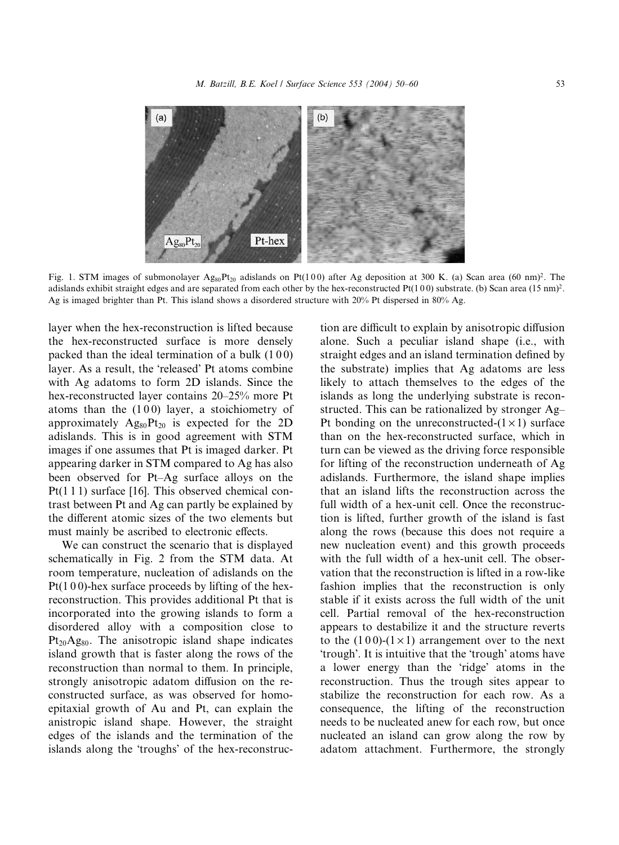

Fig. 1. STM images of submonolayer  $Ag_{80}Pt_{20}$  adislands on Pt(100) after Ag deposition at 300 K. (a) Scan area (60 nm)<sup>2</sup>. The adislands exhibit straight edges and are separated from each other by the hex-reconstructed Pt(100) substrate. (b) Scan area (15 nm)<sup>2</sup>. Ag is imaged brighter than Pt.This island shows a disordered structure with 20% Pt dispersed in 80% Ag.

layer when the hex-reconstruction is lifted because the hex-reconstructed surface is more densely packed than the ideal termination of a bulk (100) layer. As a result, the 'released' Pt atoms combine with Ag adatoms to form 2D islands. Since the hex-reconstructed layer contains 20–25% more Pt atoms than the  $(100)$  layer, a stoichiometry of approximately  $Ag_{80}Pt_{20}$  is expected for the 2D adislands.This is in good agreement with STM images if one assumes that Pt is imaged darker. Pt appearing darker in STM compared to Ag has also been observed for Pt–Ag surface alloys on the Pt(1 1 1) surface [16]. This observed chemical contrast between Pt and Ag can partly be explained by the different atomic sizes of the two elements but must mainly be ascribed to electronic effects.

We can construct the scenario that is displayed schematically in Fig. 2 from the STM data. At room temperature, nucleation of adislands on the  $Pt(100)$ -hex surface proceeds by lifting of the hexreconstruction.This provides additional Pt that is incorporated into the growing islands to form a disordered alloy with a composition close to  $Pt_{20}Ag_{80}$ . The anisotropic island shape indicates island growth that is faster along the rows of the reconstruction than normal to them.In principle, strongly anisotropic adatom diffusion on the reconstructed surface, as was observed for homoepitaxial growth of Au and Pt, can explain the anistropic island shape.However, the straight edges of the islands and the termination of the islands along the 'troughs' of the hex-reconstruction are difficult to explain by anisotropic diffusion alone. Such a peculiar island shape (i.e., with straight edges and an island termination defined by the substrate) implies that Ag adatoms are less likely to attach themselves to the edges of the islands as long the underlying substrate is reconstructed.This can be rationalized by stronger Ag– Pt bonding on the unreconstructed- $(1 \times 1)$  surface than on the hex-reconstructed surface, which in turn can be viewed as the driving force responsible for lifting of the reconstruction underneath of Ag adislands.Furthermore, the island shape implies that an island lifts the reconstruction across the full width of a hex-unit cell. Once the reconstruction is lifted, further growth of the island is fast along the rows (because this does not require a new nucleation event) and this growth proceeds with the full width of a hex-unit cell. The observation that the reconstruction is lifted in a row-like fashion implies that the reconstruction is only stable if it exists across the full width of the unit cell.Partial removal of the hex-reconstruction appears to destabilize it and the structure reverts to the  $(100)-(1\times1)$  arrangement over to the next 'trough'. It is intuitive that the 'trough' atoms have a lower energy than the 'ridge' atoms in the reconstruction.Thus the trough sites appear to stabilize the reconstruction for each row. As a consequence, the lifting of the reconstruction needs to be nucleated anew for each row, but once nucleated an island can grow along the row by adatom attachment. Furthermore, the strongly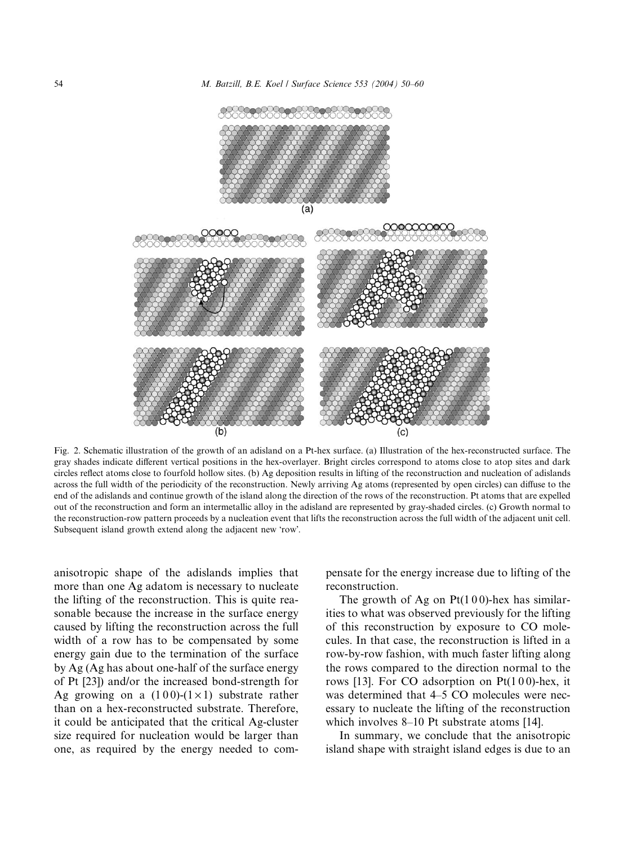



Fig. 2. Schematic illustration of the growth of an adisland on a Pt-hex surface. (a) Illustration of the hex-reconstructed surface. The gray shades indicate different vertical positions in the hex-overlayer.Bright circles correspond to atoms close to atop sites and dark circles reflect atoms close to fourfold hollow sites.(b) Ag deposition results in lifting of the reconstruction and nucleation of adislands across the full width of the periodicity of the reconstruction. Newly arriving Ag atoms (represented by open circles) can diffuse to the end of the adislands and continue growth of the island along the direction of the rows of the reconstruction. Pt atoms that are expelled out of the reconstruction and form an intermetallic alloy in the adisland are represented by gray-shaded circles.(c) Growth normal to the reconstruction-row pattern proceeds by a nucleation event that lifts the reconstruction across the full width of the adjacent unit cell. Subsequent island growth extend along the adjacent new 'row'.

anisotropic shape of the adislands implies that more than one Ag adatom is necessary to nucleate the lifting of the reconstruction.This is quite reasonable because the increase in the surface energy caused by lifting the reconstruction across the full width of a row has to be compensated by some energy gain due to the termination of the surface by Ag (Ag has about one-half of the surface energy of Pt [23]) and/or the increased bond-strength for Ag growing on a  $(100)-(1\times1)$  substrate rather than on a hex-reconstructed substrate. Therefore, it could be anticipated that the critical Ag-cluster size required for nucleation would be larger than one, as required by the energy needed to compensate for the energy increase due to lifting of the reconstruction.

The growth of Ag on  $Pt(100)$ -hex has similarities to what was observed previously for the lifting of this reconstruction by exposure to CO molecules.In that case, the reconstruction is lifted in a row-by-row fashion, with much faster lifting along the rows compared to the direction normal to the rows [13]. For CO adsorption on  $Pt(100)$ -hex, it was determined that 4–5 CO molecules were necessary to nucleate the lifting of the reconstruction which involves 8–10 Pt substrate atoms [14].

In summary, we conclude that the anisotropic island shape with straight island edges is due to an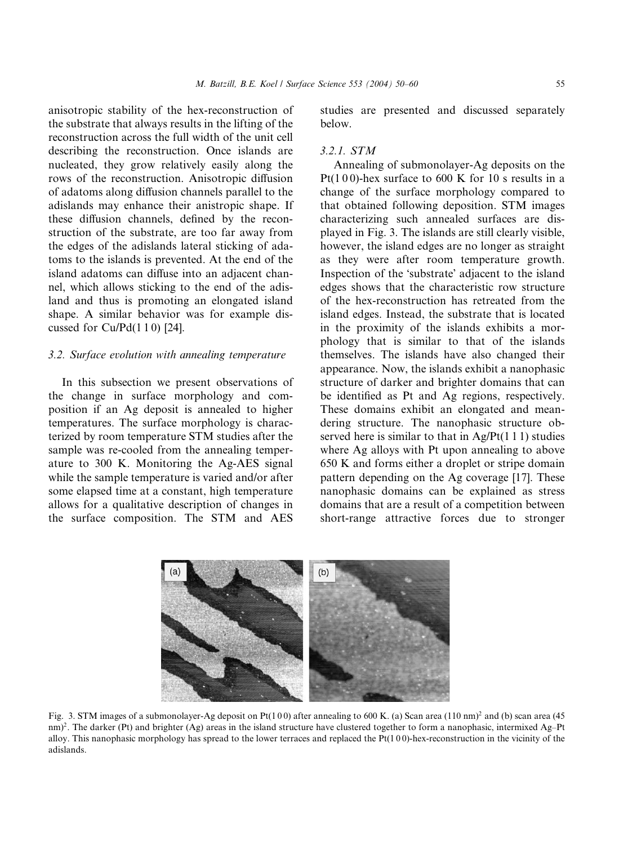anisotropic stability of the hex-reconstruction of the substrate that always results in the lifting of the reconstruction across the full width of the unit cell describing the reconstruction. Once islands are nucleated, they grow relatively easily along the rows of the reconstruction.Anisotropic diffusion of adatoms along diffusion channels parallel to the adislands may enhance their anistropic shape.If these diffusion channels, defined by the reconstruction of the substrate, are too far away from the edges of the adislands lateral sticking of adatoms to the islands is prevented.At the end of the island adatoms can diffuse into an adjacent channel, which allows sticking to the end of the adisland and thus is promoting an elongated island shape. A similar behavior was for example discussed for  $Cu/Pd(1 1 0)$  [24].

### 3.2. Surface evolution with annealing temperature

In this subsection we present observations of the change in surface morphology and composition if an Ag deposit is annealed to higher temperatures.The surface morphology is characterized by room temperature STM studies after the sample was re-cooled from the annealing temperature to 300 K. Monitoring the Ag-AES signal while the sample temperature is varied and/or after some elapsed time at a constant, high temperature allows for a qualitative description of changes in the surface composition. The STM and AES

studies are presented and discussed separately below.

# 3.2.1. STM

Annealing of submonolayer-Ag deposits on the Pt(100)-hex surface to 600 K for 10 s results in a change of the surface morphology compared to that obtained following deposition.STM images characterizing such annealed surfaces are displayed in Fig.3.The islands are still clearly visible, however, the island edges are no longer as straight as they were after room temperature growth. Inspection of the 'substrate' adjacent to the island edges shows that the characteristic row structure of the hex-reconstruction has retreated from the island edges. Instead, the substrate that is located in the proximity of the islands exhibits a morphology that is similar to that of the islands themselves.The islands have also changed their appearance. Now, the islands exhibit a nanophasic structure of darker and brighter domains that can be identified as Pt and Ag regions, respectively. These domains exhibit an elongated and meandering structure. The nanophasic structure observed here is similar to that in  $Ag/Pt(1 1 1)$  studies where Ag alloys with Pt upon annealing to above 650 K and forms either a droplet or stripe domain pattern depending on the Ag coverage [17]. These nanophasic domains can be explained as stress domains that are a result of a competition between short-range attractive forces due to stronger



Fig. 3. STM images of a submonolayer-Ag deposit on Pt(100) after annealing to 600 K. (a) Scan area (110 nm)<sup>2</sup> and (b) scan area (45 nm)<sup>2</sup>. The darker (Pt) and brighter (Ag) areas in the island structure have clustered together to form a nanophasic, intermixed Ag–Pt alloy.This nanophasic morphology has spread to the lower terraces and replaced the Pt(1 0 0)-hex-reconstruction in the vicinity of the adislands.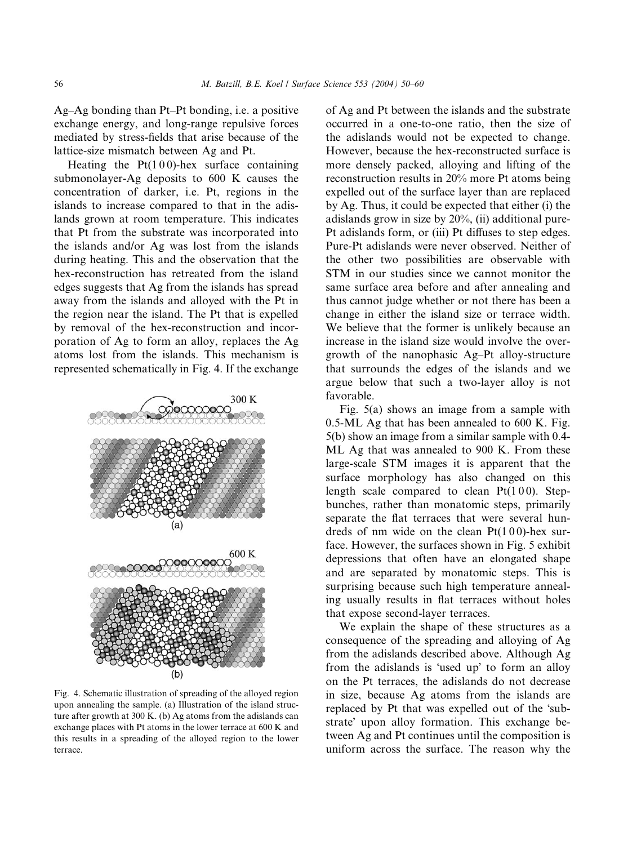Ag–Ag bonding than Pt–Pt bonding, i.e. a positive exchange energy, and long-range repulsive forces mediated by stress-fields that arise because of the lattice-size mismatch between Ag and Pt.

Heating the  $Pt(100)$ -hex surface containing submonolayer-Ag deposits to 600 K causes the concentration of darker, i.e. Pt, regions in the islands to increase compared to that in the adislands grown at room temperature.This indicates that Pt from the substrate was incorporated into the islands and/or Ag was lost from the islands during heating.This and the observation that the hex-reconstruction has retreated from the island edges suggests that Ag from the islands has spread away from the islands and alloyed with the Pt in the region near the island.The Pt that is expelled by removal of the hex-reconstruction and incorporation of Ag to form an alloy, replaces the Ag atoms lost from the islands.This mechanism is represented schematically in Fig.4.If the exchange



Fig.4.Schematic illustration of spreading of the alloyed region upon annealing the sample.(a) Illustration of the island structure after growth at 300 K.(b) Ag atoms from the adislands can exchange places with Pt atoms in the lower terrace at 600 K and this results in a spreading of the alloyed region to the lower terrace.

of Ag and Pt between the islands and the substrate occurred in a one-to-one ratio, then the size of the adislands would not be expected to change. However, because the hex-reconstructed surface is more densely packed, alloying and lifting of the reconstruction results in 20% more Pt atoms being expelled out of the surface layer than are replaced by Ag.Thus, it could be expected that either (i) the adislands grow in size by 20%, (ii) additional pure-Pt adislands form, or (iii) Pt diffuses to step edges. Pure-Pt adislands were never observed. Neither of the other two possibilities are observable with STM in our studies since we cannot monitor the same surface area before and after annealing and thus cannot judge whether or not there has been a change in either the island size or terrace width. We believe that the former is unlikely because an increase in the island size would involve the overgrowth of the nanophasic Ag–Pt alloy-structure that surrounds the edges of the islands and we argue below that such a two-layer alloy is not favorable.

Fig. 5(a) shows an image from a sample with 0.5-ML Ag that has been annealed to 600 K. Fig. 5(b) show an image from a similar sample with 0.4- ML Ag that was annealed to 900 K. From these large-scale STM images it is apparent that the surface morphology has also changed on this length scale compared to clean  $Pt(100)$ . Stepbunches, rather than monatomic steps, primarily separate the flat terraces that were several hundreds of nm wide on the clean  $Pt(100)$ -hex surface. However, the surfaces shown in Fig. 5 exhibit depressions that often have an elongated shape and are separated by monatomic steps.This is surprising because such high temperature annealing usually results in flat terraces without holes that expose second-layer terraces.

We explain the shape of these structures as a consequence of the spreading and alloying of Ag from the adislands described above.Although Ag from the adislands is 'used up' to form an alloy on the Pt terraces, the adislands do not decrease in size, because Ag atoms from the islands are replaced by Pt that was expelled out of the 'substrate' upon alloy formation. This exchange between Ag and Pt continues until the composition is uniform across the surface.The reason why the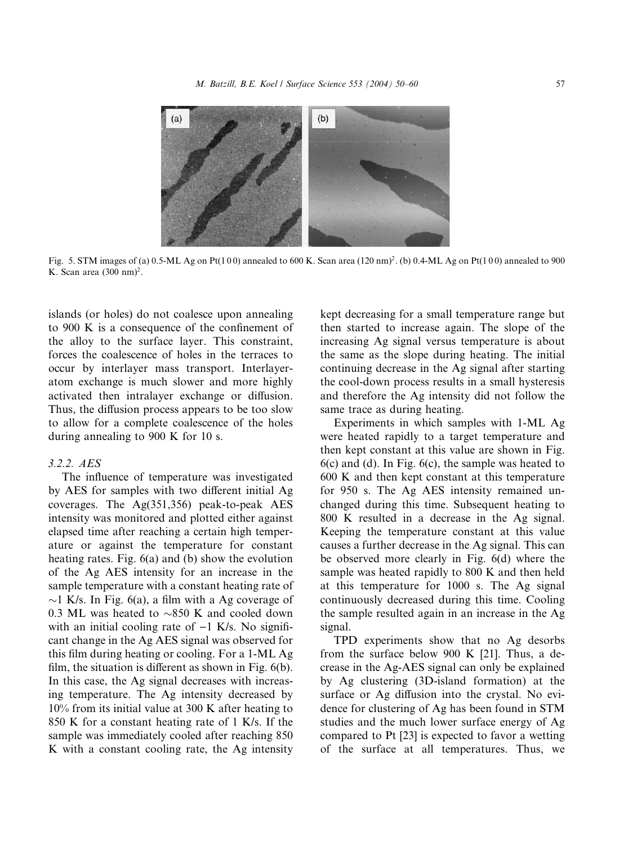

Fig. 5. STM images of (a) 0.5-ML Ag on Pt(100) annealed to 600 K. Scan area  $(120 \text{ nm})^2$ . (b) 0.4-ML Ag on Pt(100) annealed to 900 K. Scan area  $(300 \text{ nm})^2$ .

islands (or holes) do not coalesce upon annealing to 900 K is a consequence of the confinement of the alloy to the surface layer. This constraint, forces the coalescence of holes in the terraces to occur by interlayer mass transport. Interlayeratom exchange is much slower and more highly activated then intralayer exchange or diffusion. Thus, the diffusion process appears to be too slow to allow for a complete coalescence of the holes during annealing to 900 K for 10 s.

## 3.2.2. AES

The influence of temperature was investigated by AES for samples with two different initial Ag coverages.The Ag(351,356) peak-to-peak AES intensity was monitored and plotted either against elapsed time after reaching a certain high temperature or against the temperature for constant heating rates. Fig. 6(a) and (b) show the evolution of the Ag AES intensity for an increase in the sample temperature with a constant heating rate of  $\sim$ 1 K/s. In Fig. 6(a), a film with a Ag coverage of 0.3 ML was heated to  $\sim$ 850 K and cooled down with an initial cooling rate of  $-1$  K/s. No significant change in the Ag AES signal was observed for this film during heating or cooling.For a 1-ML Ag film, the situation is different as shown in Fig. 6(b). In this case, the Ag signal decreases with increasing temperature. The Ag intensity decreased by 10% from its initial value at 300 K after heating to 850 K for a constant heating rate of 1 K/s.If the sample was immediately cooled after reaching 850 K with a constant cooling rate, the Ag intensity

kept decreasing for a small temperature range but then started to increase again.The slope of the increasing Ag signal versus temperature is about the same as the slope during heating. The initial continuing decrease in the Ag signal after starting the cool-down process results in a small hysteresis and therefore the Ag intensity did not follow the same trace as during heating.

Experiments in which samples with 1-ML Ag were heated rapidly to a target temperature and then kept constant at this value are shown in Fig.  $6(c)$  and (d). In Fig.  $6(c)$ , the sample was heated to 600 K and then kept constant at this temperature for 950 s.The Ag AES intensity remained unchanged during this time. Subsequent heating to 800 K resulted in a decrease in the Ag signal. Keeping the temperature constant at this value causes a further decrease in the Ag signal.This can be observed more clearly in Fig.6(d) where the sample was heated rapidly to 800 K and then held at this temperature for 1000 s.The Ag signal continuously decreased during this time. Cooling the sample resulted again in an increase in the Ag signal.

TPD experiments show that no Ag desorbs from the surface below 900 K  $[21]$ . Thus, a decrease in the Ag-AES signal can only be explained by Ag clustering (3D-island formation) at the surface or Ag diffusion into the crystal. No evidence for clustering of Ag has been found in STM studies and the much lower surface energy of Ag compared to Pt [23] is expected to favor a wetting of the surface at all temperatures.Thus, we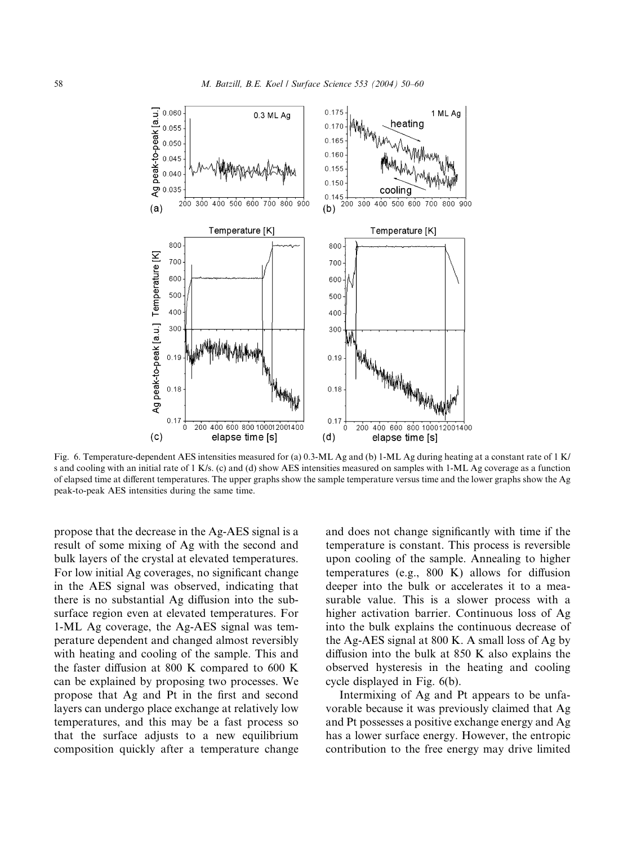

Fig. 6. Temperature-dependent AES intensities measured for (a) 0.3-ML Ag and (b) 1-ML Ag during heating at a constant rate of 1 K/ s and cooling with an initial rate of 1 K/s.(c) and (d) show AES intensities measured on samples with 1-ML Ag coverage as a function of elapsed time at different temperatures.The upper graphs show the sample temperature versus time and the lower graphs show the Ag peak-to-peak AES intensities during the same time.

propose that the decrease in the Ag-AES signal is a result of some mixing of Ag with the second and bulk layers of the crystal at elevated temperatures. For low initial Ag coverages, no significant change in the AES signal was observed, indicating that there is no substantial Ag diffusion into the subsurface region even at elevated temperatures. For 1-ML Ag coverage, the Ag-AES signal was temperature dependent and changed almost reversibly with heating and cooling of the sample. This and the faster diffusion at 800 K compared to 600 K can be explained by proposing two processes.We propose that Ag and Pt in the first and second layers can undergo place exchange at relatively low temperatures, and this may be a fast process so that the surface adjusts to a new equilibrium composition quickly after a temperature change and does not change significantly with time if the temperature is constant.This process is reversible upon cooling of the sample.Annealing to higher temperatures (e.g., 800 K) allows for diffusion deeper into the bulk or accelerates it to a measurable value. This is a slower process with a higher activation barrier. Continuous loss of Ag into the bulk explains the continuous decrease of the Ag-AES signal at 800 K. A small loss of Ag by diffusion into the bulk at 850 K also explains the observed hysteresis in the heating and cooling cycle displayed in Fig. 6(b).

Intermixing of Ag and Pt appears to be unfavorable because it was previously claimed that Ag and Pt possesses a positive exchange energy and Ag has a lower surface energy. However, the entropic contribution to the free energy may drive limited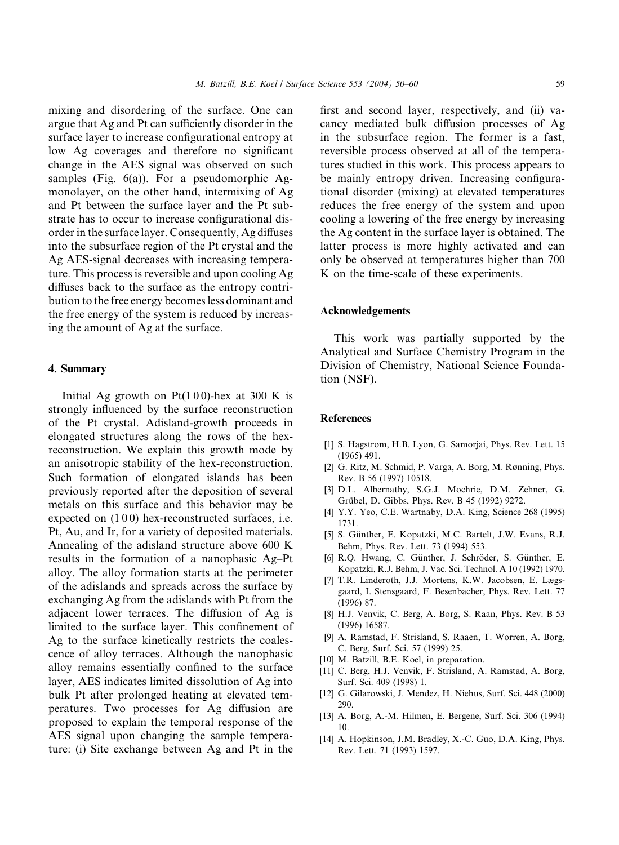mixing and disordering of the surface. One can argue that Ag and Pt can sufficiently disorder in the surface layer to increase configurational entropy at low Ag coverages and therefore no significant change in the AES signal was observed on such samples (Fig.  $6(a)$ ). For a pseudomorphic Agmonolayer, on the other hand, intermixing of Ag and Pt between the surface layer and the Pt substrate has to occur to increase configurational disorder in the surface layer.Consequently, Ag diffuses into the subsurface region of the Pt crystal and the Ag AES-signal decreases with increasing temperature.This process is reversible and upon cooling Ag diffuses back to the surface as the entropy contribution to the free energy becomes less dominant and the free energy of the system is reduced by increasing the amount of Ag at the surface.

## 4. Summary

Initial Ag growth on  $Pt(100)$ -hex at 300 K is strongly influenced by the surface reconstruction of the Pt crystal.Adisland-growth proceeds in elongated structures along the rows of the hexreconstruction.We explain this growth mode by an anisotropic stability of the hex-reconstruction. Such formation of elongated islands has been previously reported after the deposition of several metals on this surface and this behavior may be expected on  $(100)$  hex-reconstructed surfaces, i.e. Pt, Au, and Ir, for a variety of deposited materials. Annealing of the adisland structure above 600 K results in the formation of a nanophasic Ag–Pt alloy.The alloy formation starts at the perimeter of the adislands and spreads across the surface by exchanging Ag from the adislands with Pt from the adjacent lower terraces.The diffusion of Ag is limited to the surface layer. This confinement of Ag to the surface kinetically restricts the coalescence of alloy terraces.Although the nanophasic alloy remains essentially confined to the surface layer, AES indicates limited dissolution of Ag into bulk Pt after prolonged heating at elevated temperatures.Two processes for Ag diffusion are proposed to explain the temporal response of the AES signal upon changing the sample temperature: (i) Site exchange between Ag and Pt in the first and second layer, respectively, and (ii) vacancy mediated bulk diffusion processes of Ag in the subsurface region. The former is a fast, reversible process observed at all of the temperatures studied in this work.This process appears to be mainly entropy driven. Increasing configurational disorder (mixing) at elevated temperatures reduces the free energy of the system and upon cooling a lowering of the free energy by increasing the Ag content in the surface layer is obtained.The latter process is more highly activated and can only be observed at temperatures higher than 700 K on the time-scale of these experiments.

#### Acknowledgements

This work was partially supported by the Analytical and Surface Chemistry Program in the Division of Chemistry, National Science Foundation (NSF).

#### **References**

- [1] S. Hagstrom, H.B. Lyon, G. Samorjai, Phys. Rev. Lett. 15 (1965) 491.
- [2] G. Ritz, M. Schmid, P. Varga, A. Borg, M. Rønning, Phys. Rev.B 56 (1997) 10518.
- [3] D.L. Albernathy, S.G.J. Mochrie, D.M. Zehner, G. Grübel, D. Gibbs, Phys. Rev. B 45 (1992) 9272.
- [4] Y.Y. Yeo, C.E. Wartnaby, D.A. King, Science 268 (1995) 1731.
- [5] S. Günther, E. Kopatzki, M.C. Bartelt, J.W. Evans, R.J. Behm, Phys. Rev. Lett. 73 (1994) 553.
- [6] R.Q. Hwang, C. Günther, J. Schröder, S. Günther, E. Kopatzki, R.J.Behm, J.Vac.Sci.Technol.A 10 (1992) 1970.
- [7] T.R. Linderoth, J.J. Mortens, K.W. Jacobsen, E. Lægsgaard, I. Stensgaard, F. Besenbacher, Phys. Rev. Lett. 77 (1996) 87.
- [8] H.J. Venvik, C. Berg, A. Borg, S. Raan, Phys. Rev. B 53 (1996) 16587.
- [9] A.Ramstad, F.Strisland, S.Raaen, T.Worren, A.Borg, C. Berg, Surf. Sci. 57 (1999) 25.
- [10] M. Batzill, B.E. Koel, in preparation.
- [11] C. Berg, H.J. Venvik, F. Strisland, A. Ramstad, A. Borg, Surf. Sci. 409 (1998) 1.
- [12] G. Gilarowski, J. Mendez, H. Niehus, Surf. Sci. 448 (2000) 290.
- [13] A. Borg, A.-M. Hilmen, E. Bergene, Surf. Sci. 306 (1994) 10.
- [14] A. Hopkinson, J.M. Bradley, X.-C. Guo, D.A. King, Phys. Rev.Lett.71 (1993) 1597.